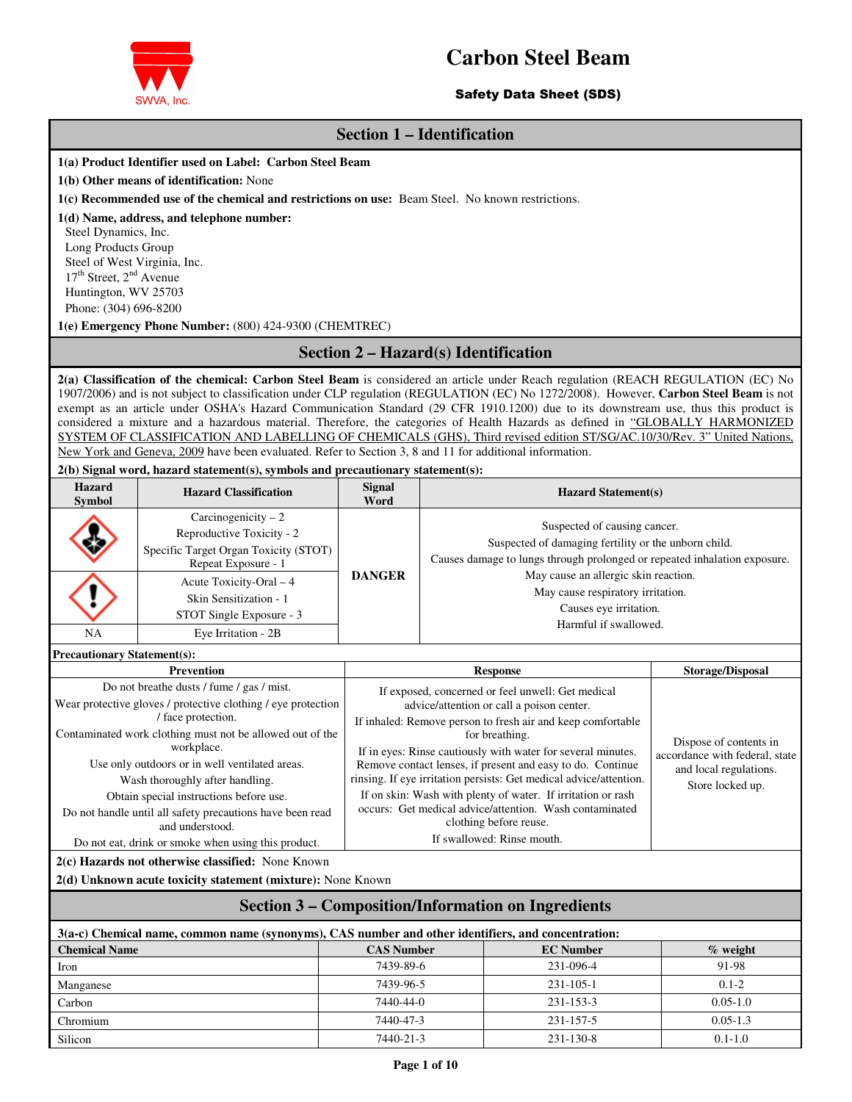

## Safety Data Sheet (SDS)

## **Section 1 – Identification**

#### **1(a) Product Identifier used on Label: Carbon Steel Beam**

**1(b) Other means of identification:** None

**1(c) Recommended use of the chemical and restrictions on use:** Beam Steel. No known restrictions.

#### **1(d) Name, address, and telephone number:**

Steel Dynamics, Inc. Long Products Group Steel of West Virginia, Inc.  $17<sup>th</sup>$  Street,  $2<sup>nd</sup>$  Avenue Huntington, WV 25703 Phone: (304) 696-8200

**1(e) Emergency Phone Number:** (800) 424-9300 (CHEMTREC)

## **Section 2 – Hazard(s) Identification**

**2(a) Classification of the chemical: Carbon Steel Beam** is considered an article under Reach regulation (REACH REGULATION (EC) No 1907/2006) and is not subject to classification under CLP regulation (REGULATION (EC) No 1272/2008). However, **Carbon Steel Beam** is not exempt as an article under OSHA's Hazard Communication Standard (29 CFR 1910.1200) due to its downstream use, thus this product is considered a mixture and a hazardous material. Therefore, the categories of Health Hazards as defined in "GLOBALLY HARMONIZED SYSTEM OF CLASSIFICATION AND LABELLING OF CHEMICALS (GHS), Third revised edition ST/SG/AC.10/30/Rev. 3" United Nations, New York and Geneva, 2009 have been evaluated. Refer to Section 3, 8 and 11 for additional information.

#### **2(b) Signal word, hazard statement(s), symbols and precautionary statement(s):**

| <b>Hazard</b><br><b>Symbol</b> | <b>Hazard Classification</b>                                                                                      | <b>Signal</b><br>Word | <b>Hazard Statement(s)</b>                                                                                                                                        |
|--------------------------------|-------------------------------------------------------------------------------------------------------------------|-----------------------|-------------------------------------------------------------------------------------------------------------------------------------------------------------------|
|                                | Carcinogenicity $-2$<br>Reproductive Toxicity - 2<br>Specific Target Organ Toxicity (STOT)<br>Repeat Exposure - 1 |                       | Suspected of causing cancer.<br>Suspected of damaging fertility or the unborn child.<br>Causes damage to lungs through prolonged or repeated inhalation exposure. |
|                                | Acute Toxicity-Oral $-4$<br>Skin Sensitization - 1<br>STOT Single Exposure - 3                                    | <b>DANGER</b>         | May cause an allergic skin reaction.<br>May cause respiratory irritation.<br>Causes eye irritation.<br>Harmful if swallowed.                                      |
| NA                             | Eye Irritation - 2B                                                                                               |                       |                                                                                                                                                                   |

**Precautionary Statement(s):** 

| Prevention                                                                                                                                                                                                                                                                                                                                                                                                                  | <b>Response</b>                                                                                                                                                                                                                                                                                                                                                                                                                                                                                                                                                        | <b>Storage/Disposal</b>                                                                                |
|-----------------------------------------------------------------------------------------------------------------------------------------------------------------------------------------------------------------------------------------------------------------------------------------------------------------------------------------------------------------------------------------------------------------------------|------------------------------------------------------------------------------------------------------------------------------------------------------------------------------------------------------------------------------------------------------------------------------------------------------------------------------------------------------------------------------------------------------------------------------------------------------------------------------------------------------------------------------------------------------------------------|--------------------------------------------------------------------------------------------------------|
| Do not breatherdusts / fume / gas / mist.<br>Wear protective gloves / protective clothing / eye protection<br>/ face protection.<br>Contaminated work clothing must not be allowed out of the<br>workplace.<br>Use only outdoors or in well ventilated areas.<br>Wash thoroughly after handling.<br>Obtain special instructions before use.<br>Do not handle until all safety precautions have been read<br>and understood. | If exposed, concerned or feel unwell: Get medical<br>advice/attention or call a poison center.<br>If inhaled: Remove person to fresh air and keep comfortable<br>for breathing.<br>If in eyes: Rinse cautiously with water for several minutes.<br>Remove contact lenses, if present and easy to do. Continue<br>rinsing. If eye irritation persists: Get medical advice/attention.<br>If on skin: Wash with plenty of water. If irritation or rash<br>occurs: Get medical advice/attention. Wash contaminated<br>clothing before reuse.<br>If swallowed: Rinse mouth. | Dispose of contents in<br>accordance with federal, state<br>and local regulations.<br>Store locked up. |
| Do not eat, drink or smoke when using this product.<br>2(c) Hazards not otherwise classified: None Known                                                                                                                                                                                                                                                                                                                    |                                                                                                                                                                                                                                                                                                                                                                                                                                                                                                                                                                        |                                                                                                        |

**2(d) Unknown acute toxicity statement (mixture):** None Known

## **Section 3 – Composition/Information on Ingredients**

| 3(a-c) Chemical name, common name (synonyms), CAS number and other identifiers, and concentration: |                   |                  |              |  |  |
|----------------------------------------------------------------------------------------------------|-------------------|------------------|--------------|--|--|
| <b>Chemical Name</b>                                                                               | <b>CAS Number</b> | <b>EC</b> Number | $\%$ weight  |  |  |
| Iron                                                                                               | 7439-89-6         | 231-096-4        | 91-98        |  |  |
| Manganese                                                                                          | 7439-96-5         | $231 - 105 - 1$  | $0.1 - 2$    |  |  |
| Carbon                                                                                             | 7440-44-0         | 231-153-3        | $0.05 - 1.0$ |  |  |
| Chromium                                                                                           | 7440-47-3         | 231-157-5        | $0.05 - 1.3$ |  |  |
| Silicon                                                                                            | 7440-21-3         | $231 - 130 - 8$  | $0.1 - 1.0$  |  |  |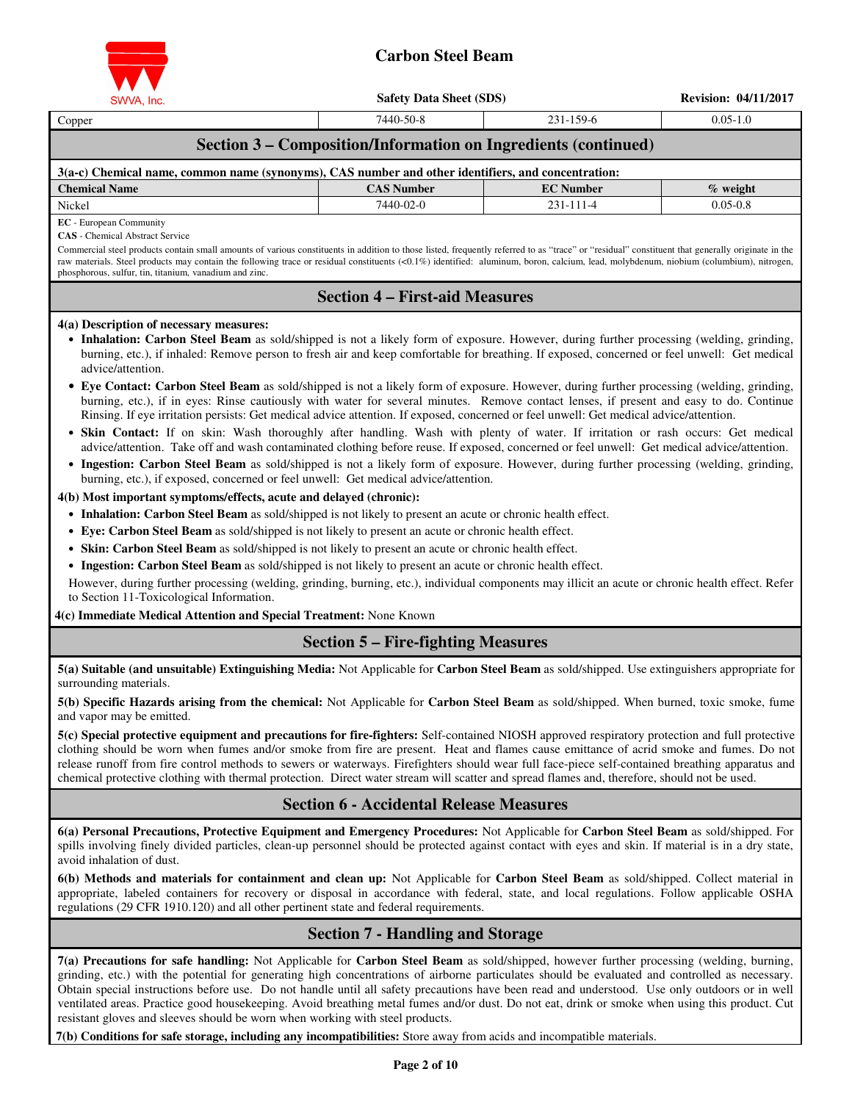

| SWVA, Inc.                                                                                                                                                                                                                                                                                                                                                                                                                                                                                                                                                                                                                                                                                                                                                                                                                                                                                                                                                                                                                                                                                                                                                                                                                                                                                                                                                                                                                                                                                                                                                                                                                                                                                                                                                                                                                                                                                                                                                                                | <b>Safety Data Sheet (SDS)</b>          |                                                                | <b>Revision: 04/11/2017</b> |  |  |
|-------------------------------------------------------------------------------------------------------------------------------------------------------------------------------------------------------------------------------------------------------------------------------------------------------------------------------------------------------------------------------------------------------------------------------------------------------------------------------------------------------------------------------------------------------------------------------------------------------------------------------------------------------------------------------------------------------------------------------------------------------------------------------------------------------------------------------------------------------------------------------------------------------------------------------------------------------------------------------------------------------------------------------------------------------------------------------------------------------------------------------------------------------------------------------------------------------------------------------------------------------------------------------------------------------------------------------------------------------------------------------------------------------------------------------------------------------------------------------------------------------------------------------------------------------------------------------------------------------------------------------------------------------------------------------------------------------------------------------------------------------------------------------------------------------------------------------------------------------------------------------------------------------------------------------------------------------------------------------------------|-----------------------------------------|----------------------------------------------------------------|-----------------------------|--|--|
| Copper                                                                                                                                                                                                                                                                                                                                                                                                                                                                                                                                                                                                                                                                                                                                                                                                                                                                                                                                                                                                                                                                                                                                                                                                                                                                                                                                                                                                                                                                                                                                                                                                                                                                                                                                                                                                                                                                                                                                                                                    | 7440-50-8                               | 231-159-6                                                      | $0.05 - 1.0$                |  |  |
|                                                                                                                                                                                                                                                                                                                                                                                                                                                                                                                                                                                                                                                                                                                                                                                                                                                                                                                                                                                                                                                                                                                                                                                                                                                                                                                                                                                                                                                                                                                                                                                                                                                                                                                                                                                                                                                                                                                                                                                           |                                         | Section 3 - Composition/Information on Ingredients (continued) |                             |  |  |
| 3(a-c) Chemical name, common name (synonyms), CAS number and other identifiers, and concentration:                                                                                                                                                                                                                                                                                                                                                                                                                                                                                                                                                                                                                                                                                                                                                                                                                                                                                                                                                                                                                                                                                                                                                                                                                                                                                                                                                                                                                                                                                                                                                                                                                                                                                                                                                                                                                                                                                        |                                         |                                                                |                             |  |  |
| <b>Chemical Name</b>                                                                                                                                                                                                                                                                                                                                                                                                                                                                                                                                                                                                                                                                                                                                                                                                                                                                                                                                                                                                                                                                                                                                                                                                                                                                                                                                                                                                                                                                                                                                                                                                                                                                                                                                                                                                                                                                                                                                                                      | <b>CAS Number</b>                       | <b>EC</b> Number                                               | $%$ weight                  |  |  |
| Nickel                                                                                                                                                                                                                                                                                                                                                                                                                                                                                                                                                                                                                                                                                                                                                                                                                                                                                                                                                                                                                                                                                                                                                                                                                                                                                                                                                                                                                                                                                                                                                                                                                                                                                                                                                                                                                                                                                                                                                                                    | 7440-02-0                               | 231-111-4                                                      | $0.05 - 0.8$                |  |  |
| <b>EC</b> - European Community<br><b>CAS</b> - Chemical Abstract Service<br>Commercial steel products contain small amounts of various constituents in addition to those listed, frequently referred to as "trace" or "residual" constituent that generally originate in the<br>raw materials. Steel products may contain the following trace or residual constituents (<0.1%) identified: aluminum, boron, calcium, lead, molybdenum, niobium (columbium), nitrogen,<br>phosphorous, sulfur, tin, titanium, vanadium and zinc.                                                                                                                                                                                                                                                                                                                                                                                                                                                                                                                                                                                                                                                                                                                                                                                                                                                                                                                                                                                                                                                                                                                                                                                                                                                                                                                                                                                                                                                           |                                         |                                                                |                             |  |  |
|                                                                                                                                                                                                                                                                                                                                                                                                                                                                                                                                                                                                                                                                                                                                                                                                                                                                                                                                                                                                                                                                                                                                                                                                                                                                                                                                                                                                                                                                                                                                                                                                                                                                                                                                                                                                                                                                                                                                                                                           | <b>Section 4 – First-aid Measures</b>   |                                                                |                             |  |  |
| • Inhalation: Carbon Steel Beam as sold/shipped is not a likely form of exposure. However, during further processing (welding, grinding,<br>burning, etc.), if inhaled: Remove person to fresh air and keep comfortable for breathing. If exposed, concerned or feel unwell: Get medical<br>advice/attention.<br>• Eye Contact: Carbon Steel Beam as sold/shipped is not a likely form of exposure. However, during further processing (welding, grinding,<br>burning, etc.), if in eyes: Rinse cautiously with water for several minutes. Remove contact lenses, if present and easy to do. Continue<br>Rinsing. If eye irritation persists: Get medical advice attention. If exposed, concerned or feel unwell: Get medical advice/attention.<br>· Skin Contact: If on skin: Wash thoroughly after handling. Wash with plenty of water. If irritation or rash occurs: Get medical<br>advice/attention. Take off and wash contaminated clothing before reuse. If exposed, concerned or feel unwell: Get medical advice/attention.<br>• Ingestion: Carbon Steel Beam as sold/shipped is not a likely form of exposure. However, during further processing (welding, grinding,<br>burning, etc.), if exposed, concerned or feel unwell: Get medical advice/attention.<br>4(b) Most important symptoms/effects, acute and delayed (chronic):<br>• Inhalation: Carbon Steel Beam as sold/shipped is not likely to present an acute or chronic health effect.<br>• Eye: Carbon Steel Beam as sold/shipped is not likely to present an acute or chronic health effect.<br>• Skin: Carbon Steel Beam as sold/shipped is not likely to present an acute or chronic health effect.<br>• Ingestion: Carbon Steel Beam as sold/shipped is not likely to present an acute or chronic health effect.<br>However, during further processing (welding, grinding, burning, etc.), individual components may illicit an acute or chronic health effect. Refer<br>to Section 11-Toxicological Information. |                                         |                                                                |                             |  |  |
| 4(c) Immediate Medical Attention and Special Treatment: None Known<br><b>Section 5 – Fire-fighting Measures</b>                                                                                                                                                                                                                                                                                                                                                                                                                                                                                                                                                                                                                                                                                                                                                                                                                                                                                                                                                                                                                                                                                                                                                                                                                                                                                                                                                                                                                                                                                                                                                                                                                                                                                                                                                                                                                                                                           |                                         |                                                                |                             |  |  |
| 5(a) Suitable (and unsuitable) Extinguishing Media: Not Applicable for Carbon Steel Beam as sold/shipped. Use extinguishers appropriate for<br>surrounding materials.<br>5(b) Specific Hazards arising from the chemical: Not Applicable for Carbon Steel Beam as sold/shipped. When burned, toxic smoke, fume<br>and vapor may be emitted.<br>5(c) Special protective equipment and precautions for fire-fighters: Self-contained NIOSH approved respiratory protection and full protective<br>clothing should be worn when fumes and/or smoke from fire are present. Heat and flames cause emittance of acrid smoke and fumes. Do not<br>release runoff from fire control methods to sewers or waterways. Firefighters should wear full face-piece self-contained breathing apparatus and<br>chemical protective clothing with thermal protection. Direct water stream will scatter and spread flames and, therefore, should not be used.                                                                                                                                                                                                                                                                                                                                                                                                                                                                                                                                                                                                                                                                                                                                                                                                                                                                                                                                                                                                                                               |                                         |                                                                |                             |  |  |
| <b>Section 6 - Accidental Release Measures</b>                                                                                                                                                                                                                                                                                                                                                                                                                                                                                                                                                                                                                                                                                                                                                                                                                                                                                                                                                                                                                                                                                                                                                                                                                                                                                                                                                                                                                                                                                                                                                                                                                                                                                                                                                                                                                                                                                                                                            |                                         |                                                                |                             |  |  |
| 6(a) Personal Precautions, Protective Equipment and Emergency Procedures: Not Applicable for Carbon Steel Beam as sold/shipped. For<br>spills involving finely divided particles, clean-up personnel should be protected against contact with eyes and skin. If material is in a dry state,<br>avoid inhalation of dust.<br>6(b) Methods and materials for containment and clean up: Not Applicable for Carbon Steel Beam as sold/shipped. Collect material in<br>appropriate, labeled containers for recovery or disposal in accordance with federal, state, and local regulations. Follow applicable OSHA                                                                                                                                                                                                                                                                                                                                                                                                                                                                                                                                                                                                                                                                                                                                                                                                                                                                                                                                                                                                                                                                                                                                                                                                                                                                                                                                                                               |                                         |                                                                |                             |  |  |
| regulations (29 CFR 1910.120) and all other pertinent state and federal requirements.                                                                                                                                                                                                                                                                                                                                                                                                                                                                                                                                                                                                                                                                                                                                                                                                                                                                                                                                                                                                                                                                                                                                                                                                                                                                                                                                                                                                                                                                                                                                                                                                                                                                                                                                                                                                                                                                                                     | <b>Section 7 - Handling and Storage</b> |                                                                |                             |  |  |
|                                                                                                                                                                                                                                                                                                                                                                                                                                                                                                                                                                                                                                                                                                                                                                                                                                                                                                                                                                                                                                                                                                                                                                                                                                                                                                                                                                                                                                                                                                                                                                                                                                                                                                                                                                                                                                                                                                                                                                                           |                                         |                                                                |                             |  |  |

**7(a) Precautions for safe handling:** Not Applicable for **Carbon Steel Beam** as sold/shipped, however further processing (welding, burning, grinding, etc.) with the potential for generating high concentrations of airborne particulates should be evaluated and controlled as necessary. Obtain special instructions before use. Do not handle until all safety precautions have been read and understood. Use only outdoors or in well ventilated areas. Practice good housekeeping. Avoid breathing metal fumes and/or dust. Do not eat, drink or smoke when using this product. Cut resistant gloves and sleeves should be worn when working with steel products.

**7(b) Conditions for safe storage, including any incompatibilities:** Store away from acids and incompatible materials.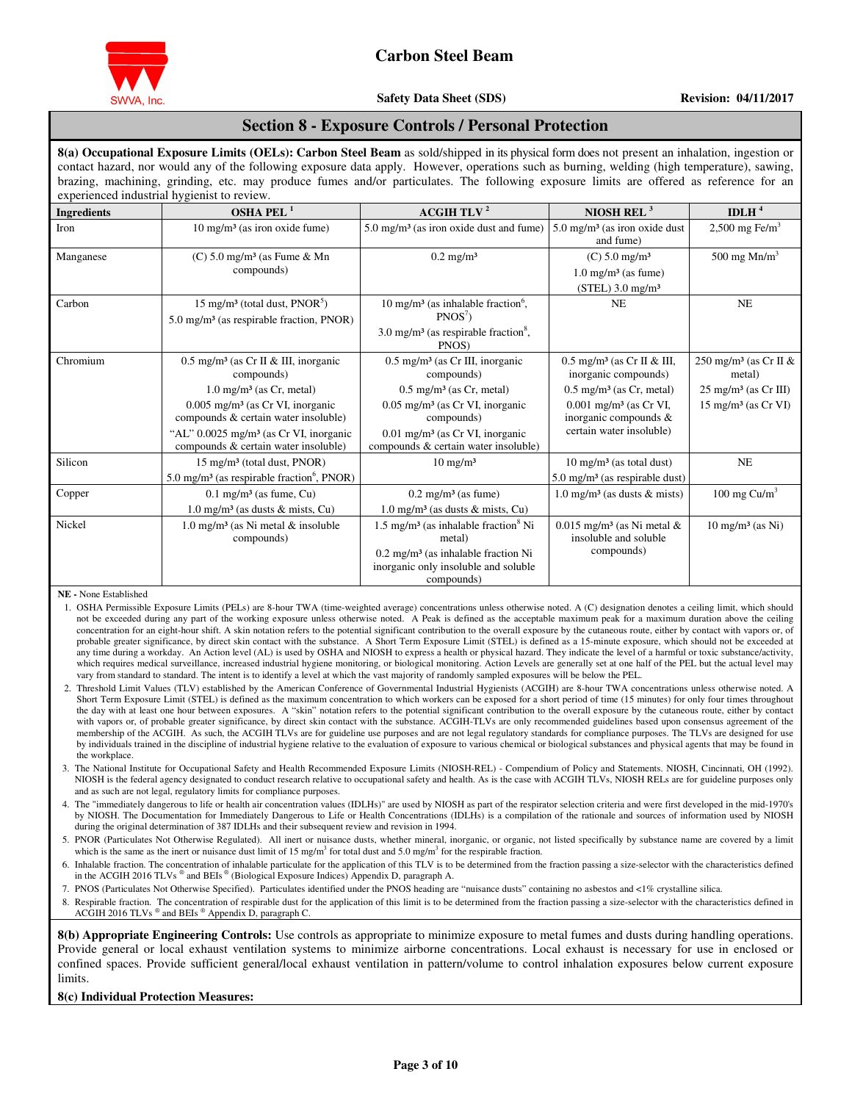

## **Safety Data Sheet (SDS)** Revision: 04/11/2017

## **Section 8 - Exposure Controls / Personal Protection**

**8(a) Occupational Exposure Limits (OELs): Carbon Steel Beam** as sold/shipped in its physical form does not present an inhalation, ingestion or contact hazard, nor would any of the following exposure data apply. However, operations such as burning, welding (high temperature), sawing, brazing, machining, grinding, etc. may produce fumes and/or particulates. The following exposure limits are offered as reference for an experienced industrial hygienist to review.

| <b>Ingredients</b> | OSHA PEL $^1$                                                                                                                                                                                                                                                                                     | <b>ACGIH TLV<sup>2</sup></b>                                                                                                                                                                                                                               | NIOSH REL $3$                                                                                                                                                                                        | IDLH $4$                                                                                                         |
|--------------------|---------------------------------------------------------------------------------------------------------------------------------------------------------------------------------------------------------------------------------------------------------------------------------------------------|------------------------------------------------------------------------------------------------------------------------------------------------------------------------------------------------------------------------------------------------------------|------------------------------------------------------------------------------------------------------------------------------------------------------------------------------------------------------|------------------------------------------------------------------------------------------------------------------|
| Iron               | $10 \text{ mg/m}^3$ (as iron oxide fume)                                                                                                                                                                                                                                                          | $5.0 \text{ mg/m}^3$ (as iron oxide dust and fume)                                                                                                                                                                                                         | $5.0$ mg/m <sup>3</sup> (as iron oxide dust<br>and fume)                                                                                                                                             | $2,500$ mg Fe/m <sup>3</sup>                                                                                     |
| Manganese          | $(C)$ 5.0 mg/m <sup>3</sup> (as Fume & Mn<br>compounds)                                                                                                                                                                                                                                           | $0.2$ mg/m <sup>3</sup>                                                                                                                                                                                                                                    | $(C) 5.0$ mg/m <sup>3</sup><br>$1.0 \text{ mg/m}^3$ (as fume)<br>$(STEL)$ 3.0 mg/m <sup>3</sup>                                                                                                      | 500 mg $Mn/m3$                                                                                                   |
| Carbon             | 15 mg/m <sup>3</sup> (total dust, PNOR <sup>5</sup> )<br>$5.0 \text{ mg/m}^3$ (as respirable fraction, PNOR)                                                                                                                                                                                      | $10 \text{ mg/m}^3$ (as inhalable fraction <sup>6</sup> ,<br>PNOS <sup>7</sup><br>3.0 mg/m <sup>3</sup> (as respirable fraction <sup>8</sup> ,<br>PNOS)                                                                                                    | <b>NE</b>                                                                                                                                                                                            | NE                                                                                                               |
| Chromium           | $0.5$ mg/m <sup>3</sup> (as Cr II & III, inorganic<br>compounds)<br>$1.0 \text{ mg/m}^3$ (as Cr, metal)<br>$0.005$ mg/m <sup>3</sup> (as Cr VI, inorganic<br>compounds & certain water insoluble)<br>"AL" $0.0025$ mg/m <sup>3</sup> (as Cr VI, inorganic<br>compounds & certain water insoluble) | $0.5$ mg/m <sup>3</sup> (as Cr III, inorganic<br>compounds)<br>$0.5 \text{ mg/m}^3$ (as Cr, metal)<br>$0.05$ mg/m <sup>3</sup> (as Cr VI, inorganic<br>compounds)<br>$0.01$ mg/m <sup>3</sup> (as Cr VI, inorganic<br>compounds & certain water insoluble) | $0.5$ mg/m <sup>3</sup> (as Cr II & III,<br>inorganic compounds)<br>$0.5 \text{ mg/m}^3$ (as Cr, metal)<br>$0.001$ mg/m <sup>3</sup> (as Cr VI,<br>inorganic compounds &<br>certain water insoluble) | 250 mg/m <sup>3</sup> (as Cr II &<br>metal)<br>$25 \text{ mg/m}^3$ (as Cr III)<br>$15 \text{ mg/m}^3$ (as Cr VI) |
| Silicon            | 15 mg/m <sup>3</sup> (total dust, PNOR)<br>5.0 mg/m <sup>3</sup> (as respirable fraction <sup>6</sup> , PNOR)                                                                                                                                                                                     | $10 \text{ mg/m}^3$                                                                                                                                                                                                                                        | $10 \text{ mg/m}^3$ (as total dust)<br>$5.0 \text{ mg/m}^3$ (as respirable dust)                                                                                                                     | NE                                                                                                               |
| Copper             | $0.1 \text{ mg/m}^3$ (as fume, Cu)<br>$1.0 \text{ mg/m}^3$ (as dusts & mists, Cu)                                                                                                                                                                                                                 | $0.2 \text{ mg/m}^3$ (as fume)<br>$1.0 \text{ mg/m}^3$ (as dusts & mists, Cu)                                                                                                                                                                              | $1.0 \text{ mg/m}^3$ (as dusts & mists)                                                                                                                                                              | 100 mg $Cu/m3$                                                                                                   |
| Nickel             | $1.0 \text{ mg/m}^3$ (as Ni metal & insoluble<br>compounds)                                                                                                                                                                                                                                       | $1.5 \text{ mg/m}^3$ (as inhalable fraction <sup>8</sup> Ni<br>metal)<br>$0.2 \text{ mg/m}^3$ (as inhalable fraction Ni<br>inorganic only insoluble and soluble<br>compounds)                                                                              | $0.015$ mg/m <sup>3</sup> (as Ni metal &<br>insoluble and soluble<br>compounds)                                                                                                                      | $10 \text{ mg/m}^3$ (as Ni)                                                                                      |

**NE -** None Established

- 1. OSHA Permissible Exposure Limits (PELs) are 8-hour TWA (time-weighted average) concentrations unless otherwise noted. A (C) designation denotes a ceiling limit, which should not be exceeded during any part of the working exposure unless otherwise noted. A Peak is defined as the acceptable maximum peak for a maximum duration above the ceiling concentration for an eight-hour shift. A skin notation refers to the potential significant contribution to the overall exposure by the cutaneous route, either by contact with vapors or, of probable greater significance, by direct skin contact with the substance. A Short Term Exposure Limit (STEL) is defined as a 15-minute exposure, which should not be exceeded at any time during a workday. An Action level (AL) is used by OSHA and NIOSH to express a health or physical hazard. They indicate the level of a harmful or toxic substance/activity, which requires medical surveillance, increased industrial hygiene monitoring, or biological monitoring. Action Levels are generally set at one half of the PEL but the actual level may vary from standard to standard. The intent is to identify a level at which the vast majority of randomly sampled exposures will be below the PEL.
- 2. Threshold Limit Values (TLV) established by the American Conference of Governmental Industrial Hygienists (ACGIH) are 8-hour TWA concentrations unless otherwise noted. A Short Term Exposure Limit (STEL) is defined as the maximum concentration to which workers can be exposed for a short period of time (15 minutes) for only four times throughout the day with at least one hour between exposures. A "skin" notation refers to the potential significant contribution to the overall exposure by the cutaneous route, either by contact with vapors or, of probable greater significance, by direct skin contact with the substance. ACGIH-TLVs are only recommended guidelines based upon consensus agreement of the membership of the ACGIH. As such, the ACGIH TLVs are for guideline use purposes and are not legal regulatory standards for compliance purposes. The TLVs are designed for use by individuals trained in the discipline of industrial hygiene relative to the evaluation of exposure to various chemical or biological substances and physical agents that may be found in the workplace
- 3. The National Institute for Occupational Safety and Health Recommended Exposure Limits (NIOSH-REL) Compendium of Policy and Statements. NIOSH, Cincinnati, OH (1992). NIOSH is the federal agency designated to conduct research relative to occupational safety and health. As is the case with ACGIH TLVs, NIOSH RELs are for guideline purposes only and as such are not legal, regulatory limits for compliance purposes.
- 4. The "immediately dangerous to life or health air concentration values (IDLHs)" are used by NIOSH as part of the respirator selection criteria and were first developed in the mid-1970's by NIOSH. The Documentation for Immediately Dangerous to Life or Health Concentrations (IDLHs) is a compilation of the rationale and sources of information used by NIOSH during the original determination of 387 IDLHs and their subsequent review and revision in 1994.
- 5. PNOR (Particulates Not Otherwise Regulated). All inert or nuisance dusts, whether mineral, inorganic, or organic, not listed specifically by substance name are covered by a limit which is the same as the inert or nuisance dust limit of 15 mg/m<sup>3</sup> for total dust and 5.0 mg/m<sup>3</sup> for the respirable fraction.
- 6. Inhalable fraction. The concentration of inhalable particulate for the application of this TLV is to be determined from the fraction passing a size-selector with the characteristics defined in the ACGIH 2016 TLVs ® and BEIs ® (Biological Exposure Indices) Appendix D, paragraph A.
- 7. PNOS (Particulates Not Otherwise Specified). Particulates identified under the PNOS heading are "nuisance dusts" containing no asbestos and <1% crystalline silica.
- 8. Respirable fraction. The concentration of respirable dust for the application of this limit is to be determined from the fraction passing a size-selector with the characteristics defined in ACGIH 2016 TLVs ® and BEIs ® Appendix D, paragraph C.

**8(b) Appropriate Engineering Controls:** Use controls as appropriate to minimize exposure to metal fumes and dusts during handling operations. Provide general or local exhaust ventilation systems to minimize airborne concentrations. Local exhaust is necessary for use in enclosed or confined spaces. Provide sufficient general/local exhaust ventilation in pattern/volume to control inhalation exposures below current exposure **limits** 

#### **8(c) Individual Protection Measures:**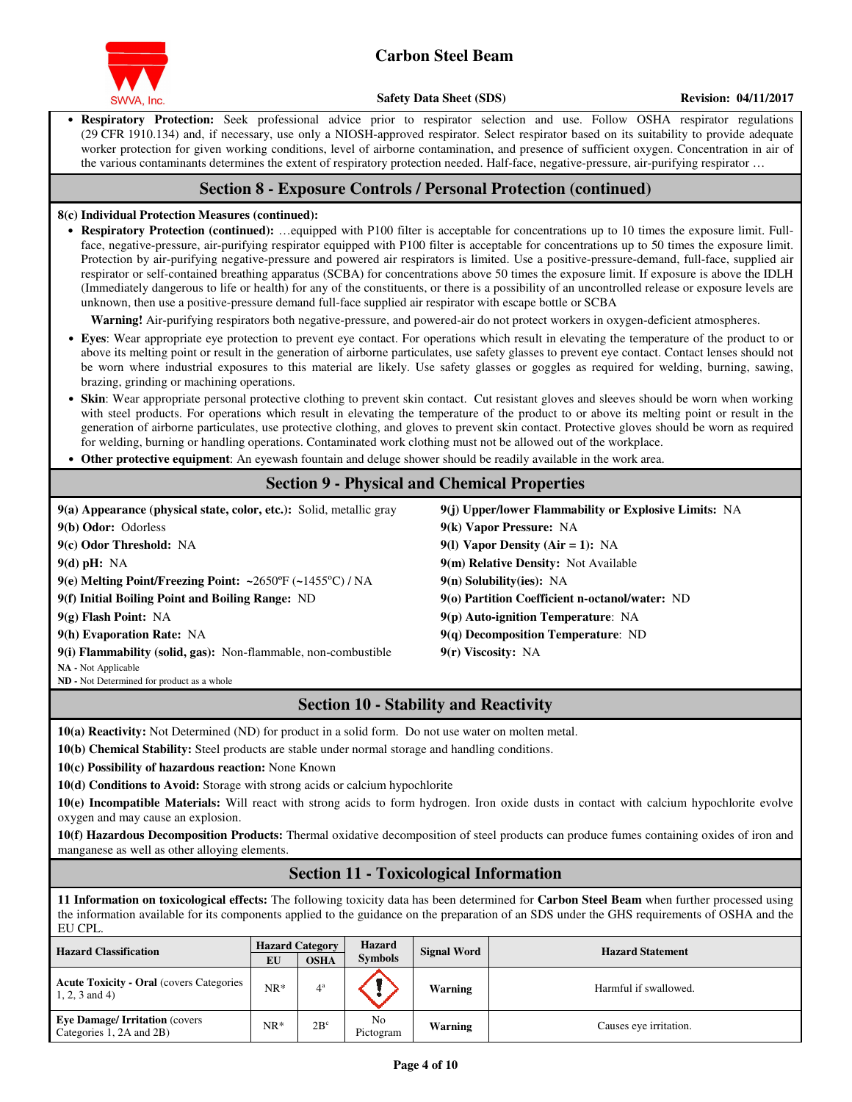

• **Respiratory Protection:** Seek professional advice prior to respirator selection and use. Follow OSHA respirator regulations (29 CFR 1910.134) and, if necessary, use only a NIOSH-approved respirator. Select respirator based on its suitability to provide adequate worker protection for given working conditions, level of airborne contamination, and presence of sufficient oxygen. Concentration in air of the various contaminants determines the extent of respiratory protection needed. Half-face, negative-pressure, air-purifying respirator ...

## **Section 8 - Exposure Controls / Personal Protection (continued)**

### **8(c) Individual Protection Measures (continued):**

• **Respiratory Protection (continued):** …equipped with P100 filter is acceptable for concentrations up to 10 times the exposure limit. Fullface, negative-pressure, air-purifying respirator equipped with P100 filter is acceptable for concentrations up to 50 times the exposure limit. Protection by air-purifying negative-pressure and powered air respirators is limited. Use a positive-pressure-demand, full-face, supplied air respirator or self-contained breathing apparatus (SCBA) for concentrations above 50 times the exposure limit. If exposure is above the IDLH (Immediately dangerous to life or health) for any of the constituents, or there is a possibility of an uncontrolled release or exposure levels are unknown, then use a positive-pressure demand full-face supplied air respirator with escape bottle or SCBA

**Warning!** Air-purifying respirators both negative-pressure, and powered-air do not protect workers in oxygen-deficient atmospheres.

- **Eyes**: Wear appropriate eye protection to prevent eye contact. For operations which result in elevating the temperature of the product to or above its melting point or result in the generation of airborne particulates, use safety glasses to prevent eye contact. Contact lenses should not be worn where industrial exposures to this material are likely. Use safety glasses or goggles as required for welding, burning, sawing, brazing, grinding or machining operations.
- **Skin**: Wear appropriate personal protective clothing to prevent skin contact. Cut resistant gloves and sleeves should be worn when working with steel products. For operations which result in elevating the temperature of the product to or above its melting point or result in the generation of airborne particulates, use protective clothing, and gloves to prevent skin contact. Protective gloves should be worn as required for welding, burning or handling operations. Contaminated work clothing must not be allowed out of the workplace.
- **Other protective equipment**: An eyewash fountain and deluge shower should be readily available in the work area.

## **Section 9 - Physical and Chemical Properties**

| $9(a)$ Appearance (physical state, color, etc.): Solid, metallic gray         | 9(j) Upper/lower Flammability or Explosive Limits: NA |
|-------------------------------------------------------------------------------|-------------------------------------------------------|
| 9(b) Odor: Odorless                                                           | 9(k) Vapor Pressure: NA                               |
| 9(c) Odor Threshold: NA                                                       | 9(1) Vapor Density (Air = 1): NA                      |
| $9(d)$ pH: NA                                                                 | 9(m) Relative Density: Not Available                  |
| 9(e) Melting Point/Freezing Point: ~2650 $\degree$ F (~1455 $\degree$ C) / NA | $9(n)$ Solubility(ies): NA                            |
| 9(f) Initial Boiling Point and Boiling Range: ND                              | 9(o) Partition Coefficient n-octanol/water: ND        |
| $9(g)$ Flash Point: NA                                                        | $9(p)$ Auto-ignition Temperature: NA                  |
| 9(h) Evaporation Rate: NA                                                     | $9(q)$ Decomposition Temperature: ND                  |
| 9(i) Flammability (solid, gas): Non-flammable, non-combustible                | $9(r)$ Viscosity: NA                                  |
| <b>NA</b> - Not Applicable                                                    |                                                       |
| ND - Not Determined for product as a whole                                    |                                                       |

## **Section 10 - Stability and Reactivity**

**10(a) Reactivity:** Not Determined (ND) for product in a solid form. Do not use water on molten metal.

**10(b) Chemical Stability:** Steel products are stable under normal storage and handling conditions.

**10(c) Possibility of hazardous reaction:** None Known

**10(d) Conditions to Avoid:** Storage with strong acids or calcium hypochlorite

**10(e) Incompatible Materials:** Will react with strong acids to form hydrogen. Iron oxide dusts in contact with calcium hypochlorite evolve oxygen and may cause an explosion.

**10(f) Hazardous Decomposition Products:** Thermal oxidative decomposition of steel products can produce fumes containing oxides of iron and manganese as well as other alloying elements.

## **Section 11 - Toxicological Information**

**11 Information on toxicological effects:** The following toxicity data has been determined for **Carbon Steel Beam** when further processed using the information available for its components applied to the guidance on the preparation of an SDS under the GHS requirements of OSHA and the EU CPL.

| <b>Hazard Classification</b>                                         | <b>Hazard Category</b> |              | <b>Hazard</b><br><b>Signal Word</b> | <b>Hazard Statement</b> |                        |  |
|----------------------------------------------------------------------|------------------------|--------------|-------------------------------------|-------------------------|------------------------|--|
|                                                                      | EU                     | <b>OSHA</b>  | <b>Symbols</b>                      |                         |                        |  |
| <b>Acute Toxicity - Oral (covers Categories)</b><br>$1, 2, 3$ and 4) | $NR*$                  | $4^{\rm a}$  |                                     | Warning                 | Harmful if swallowed.  |  |
| <b>Eye Damage/Irritation (covers)</b><br>Categories 1, 2A and 2B)    | NR*                    | $2B^{\circ}$ | No<br>Pictogram                     | Warning                 | Causes eye irritation. |  |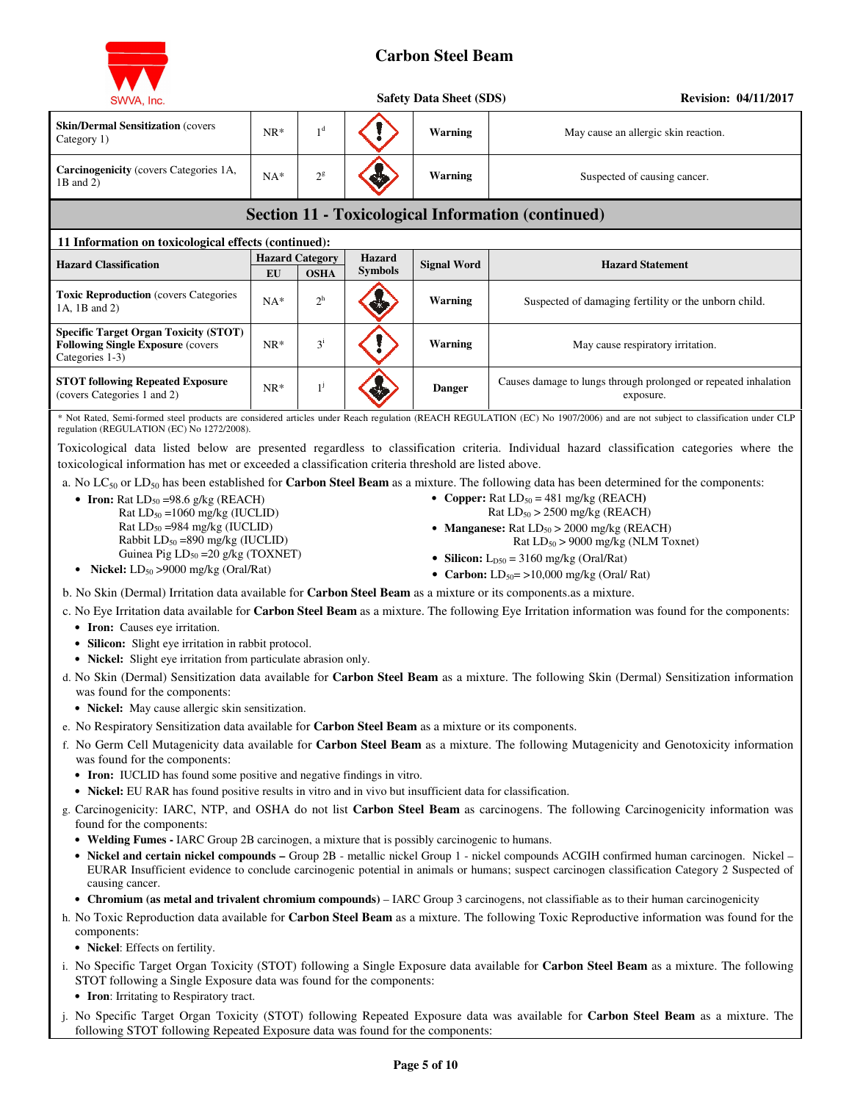

| SWVA, Inc.                                                                                                                                                                                                                                                                                                                                                                                                                                                                                                                                                                      |        |                                       |                                 | <b>Safety Data Sheet (SDS)</b> | <b>Revision: 04/11/2017</b>                                                                                                                                                                                                                                                                                                                                                                                                                                                                                                                                                                                                                                                                                                                                         |
|---------------------------------------------------------------------------------------------------------------------------------------------------------------------------------------------------------------------------------------------------------------------------------------------------------------------------------------------------------------------------------------------------------------------------------------------------------------------------------------------------------------------------------------------------------------------------------|--------|---------------------------------------|---------------------------------|--------------------------------|---------------------------------------------------------------------------------------------------------------------------------------------------------------------------------------------------------------------------------------------------------------------------------------------------------------------------------------------------------------------------------------------------------------------------------------------------------------------------------------------------------------------------------------------------------------------------------------------------------------------------------------------------------------------------------------------------------------------------------------------------------------------|
| <b>Skin/Dermal Sensitization (covers)</b><br>Category 1)                                                                                                                                                                                                                                                                                                                                                                                                                                                                                                                        | $NR*$  | 1 <sup>d</sup>                        |                                 | Warning                        | May cause an allergic skin reaction.                                                                                                                                                                                                                                                                                                                                                                                                                                                                                                                                                                                                                                                                                                                                |
| Carcinogenicity (covers Categories 1A,<br>1B and 2)                                                                                                                                                                                                                                                                                                                                                                                                                                                                                                                             | $NA*$  | $2^{\rm g}$                           |                                 | Warning                        | Suspected of causing cancer.                                                                                                                                                                                                                                                                                                                                                                                                                                                                                                                                                                                                                                                                                                                                        |
|                                                                                                                                                                                                                                                                                                                                                                                                                                                                                                                                                                                 |        |                                       |                                 |                                | <b>Section 11 - Toxicological Information (continued)</b>                                                                                                                                                                                                                                                                                                                                                                                                                                                                                                                                                                                                                                                                                                           |
| 11 Information on toxicological effects (continued):                                                                                                                                                                                                                                                                                                                                                                                                                                                                                                                            |        |                                       |                                 |                                |                                                                                                                                                                                                                                                                                                                                                                                                                                                                                                                                                                                                                                                                                                                                                                     |
| <b>Hazard Classification</b>                                                                                                                                                                                                                                                                                                                                                                                                                                                                                                                                                    | EU     | <b>Hazard Category</b><br><b>OSHA</b> | <b>Hazard</b><br><b>Symbols</b> | <b>Signal Word</b>             | <b>Hazard Statement</b>                                                                                                                                                                                                                                                                                                                                                                                                                                                                                                                                                                                                                                                                                                                                             |
| <b>Toxic Reproduction</b> (covers Categories<br>1A, 1B and 2)                                                                                                                                                                                                                                                                                                                                                                                                                                                                                                                   | $NA^*$ | $2^h$                                 |                                 | Warning                        | Suspected of damaging fertility or the unborn child.                                                                                                                                                                                                                                                                                                                                                                                                                                                                                                                                                                                                                                                                                                                |
| <b>Specific Target Organ Toxicity (STOT)</b><br><b>Following Single Exposure (covers)</b><br>Categories 1-3)                                                                                                                                                                                                                                                                                                                                                                                                                                                                    | $NR*$  | $3^{i}$                               |                                 | <b>Warning</b>                 | May cause respiratory irritation.                                                                                                                                                                                                                                                                                                                                                                                                                                                                                                                                                                                                                                                                                                                                   |
| <b>STOT following Repeated Exposure</b><br>(covers Categories 1 and 2)                                                                                                                                                                                                                                                                                                                                                                                                                                                                                                          | $NR*$  | $1^j$                                 |                                 | <b>Danger</b>                  | Causes damage to lungs through prolonged or repeated inhalation<br>exposure.                                                                                                                                                                                                                                                                                                                                                                                                                                                                                                                                                                                                                                                                                        |
| regulation (REGULATION (EC) No 1272/2008).                                                                                                                                                                                                                                                                                                                                                                                                                                                                                                                                      |        |                                       |                                 |                                | * Not Rated, Semi-formed steel products are considered articles under Reach regulation (REACH REGULATION (EC) No 1907/2006) and are not subject to classification under CLP                                                                                                                                                                                                                                                                                                                                                                                                                                                                                                                                                                                         |
| • Iron: Rat $LD_{50} = 98.6$ g/kg (REACH)<br>Rat $LD_{50} = 1060$ mg/kg (IUCLID)<br>Rat LD <sub>50</sub> =984 mg/kg (IUCLID)<br>Rabbit LD <sub>50</sub> =890 mg/kg (IUCLID)<br>Guinea Pig $LD_{50} = 20$ g/kg (TOXNET)<br><b>Nickel:</b> $LD_{50} > 9000$ mg/kg (Oral/Rat)<br>$\bullet$<br>b. No Skin (Dermal) Irritation data available for <b>Carbon Steel Beam</b> as a mixture or its components as a mixture.<br>• Iron: Causes eye irritation.<br>• Silicon: Slight eye irritation in rabbit protocol.<br>• Nickel: Slight eye irritation from particulate abrasion only. |        |                                       |                                 |                                | a. No $LC_{50}$ or $LD_{50}$ has been established for <b>Carbon Steel Beam</b> as a mixture. The following data has been determined for the components:<br>• Copper: Rat $LD_{50} = 481$ mg/kg (REACH)<br>Rat $LD_{50}$ > 2500 mg/kg (REACH)<br>• Manganese: Rat $LD_{50} > 2000$ mg/kg (REACH)<br>Rat $LD_{50}$ > 9000 mg/kg (NLM Toxnet)<br>• Silicon: $L_{D50} = 3160$ mg/kg (Oral/Rat)<br>• Carbon: $LD_{50} = \frac{10,000 \text{ mg/kg}}{C \text{eral}}$ Rat)<br>c. No Eye Irritation data available for Carbon Steel Beam as a mixture. The following Eye Irritation information was found for the components:<br>d. No Skin (Dermal) Sensitization data available for Carbon Steel Beam as a mixture. The following Skin (Dermal) Sensitization information |
| was found for the components:<br>• Nickel: May cause allergic skin sensitization.                                                                                                                                                                                                                                                                                                                                                                                                                                                                                               |        |                                       |                                 |                                |                                                                                                                                                                                                                                                                                                                                                                                                                                                                                                                                                                                                                                                                                                                                                                     |
| e. No Respiratory Sensitization data available for Carbon Steel Beam as a mixture or its components.<br>was found for the components:<br>• Iron: IUCLID has found some positive and negative findings in vitro.<br>• Nickel: EU RAR has found positive results in vitro and in vivo but insufficient data for classification.<br>found for the components:<br>• Welding Fumes - IARC Group 2B carcinogen, a mixture that is possibly carcinogenic to humans.                                                                                                                    |        |                                       |                                 |                                | f. No Germ Cell Mutagenicity data available for Carbon Steel Beam as a mixture. The following Mutagenicity and Genotoxicity information<br>g. Carcinogenicity: IARC, NTP, and OSHA do not list Carbon Steel Beam as carcinogens. The following Carcinogenicity information was                                                                                                                                                                                                                                                                                                                                                                                                                                                                                      |
| causing cancer.<br>components:<br>• Nickel: Effects on fertility.                                                                                                                                                                                                                                                                                                                                                                                                                                                                                                               |        |                                       |                                 |                                | • Nickel and certain nickel compounds - Group 2B - metallic nickel Group 1 - nickel compounds ACGIH confirmed human carcinogen. Nickel -<br>EURAR Insufficient evidence to conclude carcinogenic potential in animals or humans; suspect carcinogen classification Category 2 Suspected of<br>• Chromium (as metal and trivalent chromium compounds) – IARC Group 3 carcinogens, not classifiable as to their human carcinogenicity<br>h. No Toxic Reproduction data available for Carbon Steel Beam as a mixture. The following Toxic Reproductive information was found for the                                                                                                                                                                                   |

- i. No Specific Target Organ Toxicity (STOT) following a Single Exposure data available for **Carbon Steel Beam** as a mixture. The following STOT following a Single Exposure data was found for the components:
	- **Iron**: Irritating to Respiratory tract.
- j. No Specific Target Organ Toxicity (STOT) following Repeated Exposure data was available for **Carbon Steel Beam** as a mixture. The following STOT following Repeated Exposure data was found for the components: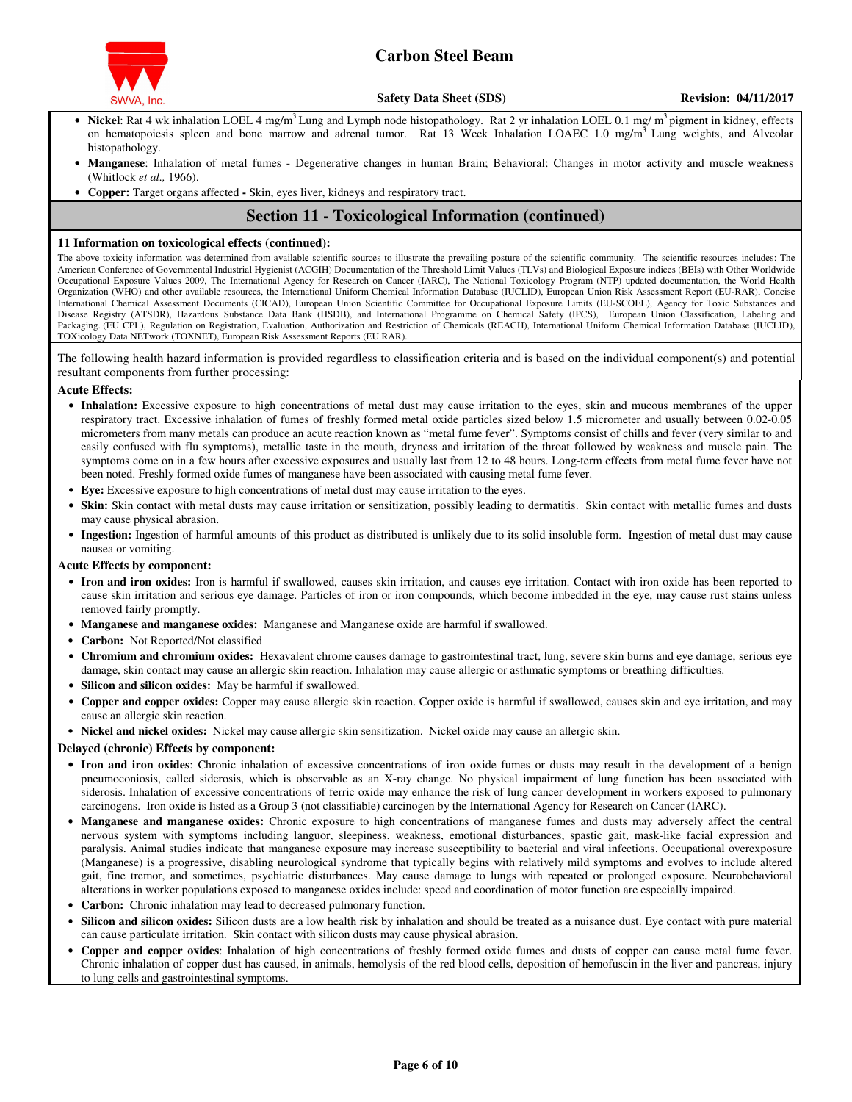

- Nickel: Rat 4 wk inhalation LOEL 4 mg/m<sup>3</sup> Lung and Lymph node histopathology. Rat 2 yr inhalation LOEL 0.1 mg/ m<sup>3</sup> pigment in kidney, effects on hematopoiesis spleen and bone marrow and adrenal tumor. Rat 13 Week Inhalation LOAEC 1.0 mg/m<sup>3</sup> Lung weights, and Alveolar histopathology.
- **Manganese**: Inhalation of metal fumes Degenerative changes in human Brain; Behavioral: Changes in motor activity and muscle weakness (Whitlock *et al.,* 1966).
- **Copper:** Target organs affectedSkin, eyes liver, kidneys and respiratory tract.

## **Section 11 - Toxicological Information (continued)**

#### **11 Information on toxicological effects (continued):**

The above toxicity information was determined from available scientific sources to illustrate the prevailing posture of the scientific community. The scientific resources includes: The American Conference of Governmental Industrial Hygienist (ACGIH) Documentation of the Threshold Limit Values (TLVs) and Biological Exposure indices (BEIs) with Other Worldwide Occupational Exposure Values 2009, The International Agency for Research on Cancer (IARC), The National Toxicology Program (NTP) updated documentation, the World Health Organization (WHO) and other available resources, the International Uniform Chemical Information Database (IUCLID), European Union Risk Assessment Report (EU-RAR), Concise International Chemical Assessment Documents (CICAD), European Union Scientific Committee for Occupational Exposure Limits (EU-SCOEL), Agency for Toxic Substances and Disease Registry (ATSDR), Hazardous Substance Data Bank (HSDB), and International Programme on Chemical Safety (IPCS), European Union Classification, Labeling and Packaging. (EU CPL), Regulation on Registration, Evaluation, Authorization and Restriction of Chemicals (REACH), International Uniform Chemical Information Database (IUCLID), TOXicology Data NETwork (TOXNET), European Risk Assessment Reports (EU RAR).

The following health hazard information is provided regardless to classification criteria and is based on the individual component(s) and potential resultant components from further processing:

#### **Acute Effects:**

- **Inhalation:** Excessive exposure to high concentrations of metal dust may cause irritation to the eyes, skin and mucous membranes of the upper respiratory tract. Excessive inhalation of fumes of freshly formed metal oxide particles sized below 1.5 micrometer and usually between 0.02-0.05 micrometers from many metals can produce an acute reaction known as "metal fume fever". Symptoms consist of chills and fever (very similar to and easily confused with flu symptoms), metallic taste in the mouth, dryness and irritation of the throat followed by weakness and muscle pain. The symptoms come on in a few hours after excessive exposures and usually last from 12 to 48 hours. Long-term effects from metal fume fever have not been noted. Freshly formed oxide fumes of manganese have been associated with causing metal fume fever.
- **Eye:** Excessive exposure to high concentrations of metal dust may cause irritation to the eyes.
- **Skin:** Skin contact with metal dusts may cause irritation or sensitization, possibly leading to dermatitis. Skin contact with metallic fumes and dusts may cause physical abrasion.
- **Ingestion:** Ingestion of harmful amounts of this product as distributed is unlikely due to its solid insoluble form. Ingestion of metal dust may cause nausea or vomiting.

#### **Acute Effects by component:**

- **Iron and iron oxides:** Iron is harmful if swallowed, causes skin irritation, and causes eye irritation. Contact with iron oxide has been reported to cause skin irritation and serious eye damage. Particles of iron or iron compounds, which become imbedded in the eye, may cause rust stains unless removed fairly promptly.
- **Manganese and manganese oxides:** Manganese and Manganese oxide are harmful if swallowed.
- **Carbon:** Not Reported/Not classified
- **Chromium and chromium oxides:** Hexavalent chrome causes damage to gastrointestinal tract, lung, severe skin burns and eye damage, serious eye damage, skin contact may cause an allergic skin reaction. Inhalation may cause allergic or asthmatic symptoms or breathing difficulties.
- Silicon and silicon oxides: May be harmful if swallowed.
- **Copper and copper oxides:** Copper may cause allergic skin reaction. Copper oxide is harmful if swallowed, causes skin and eye irritation, and may cause an allergic skin reaction.
- **Nickel and nickel oxides:** Nickel may cause allergic skin sensitization. Nickel oxide may cause an allergic skin.

#### **Delayed (chronic) Effects by component:**

- **Iron and iron oxides**: Chronic inhalation of excessive concentrations of iron oxide fumes or dusts may result in the development of a benign pneumoconiosis, called siderosis, which is observable as an X-ray change. No physical impairment of lung function has been associated with siderosis. Inhalation of excessive concentrations of ferric oxide may enhance the risk of lung cancer development in workers exposed to pulmonary carcinogens. Iron oxide is listed as a Group 3 (not classifiable) carcinogen by the International Agency for Research on Cancer (IARC).
- **Manganese and manganese oxides:** Chronic exposure to high concentrations of manganese fumes and dusts may adversely affect the central nervous system with symptoms including languor, sleepiness, weakness, emotional disturbances, spastic gait, mask-like facial expression and paralysis. Animal studies indicate that manganese exposure may increase susceptibility to bacterial and viral infections. Occupational overexposure (Manganese) is a progressive, disabling neurological syndrome that typically begins with relatively mild symptoms and evolves to include altered gait, fine tremor, and sometimes, psychiatric disturbances. May cause damage to lungs with repeated or prolonged exposure. Neurobehavioral alterations in worker populations exposed to manganese oxides include: speed and coordination of motor function are especially impaired.
- **Carbon:** Chronic inhalation may lead to decreased pulmonary function.
- **Silicon and silicon oxides:** Silicon dusts are a low health risk by inhalation and should be treated as a nuisance dust. Eye contact with pure material can cause particulate irritation. Skin contact with silicon dusts may cause physical abrasion.
- **Copper and copper oxides**: Inhalation of high concentrations of freshly formed oxide fumes and dusts of copper can cause metal fume fever. Chronic inhalation of copper dust has caused, in animals, hemolysis of the red blood cells, deposition of hemofuscin in the liver and pancreas, injury to lung cells and gastrointestinal symptoms.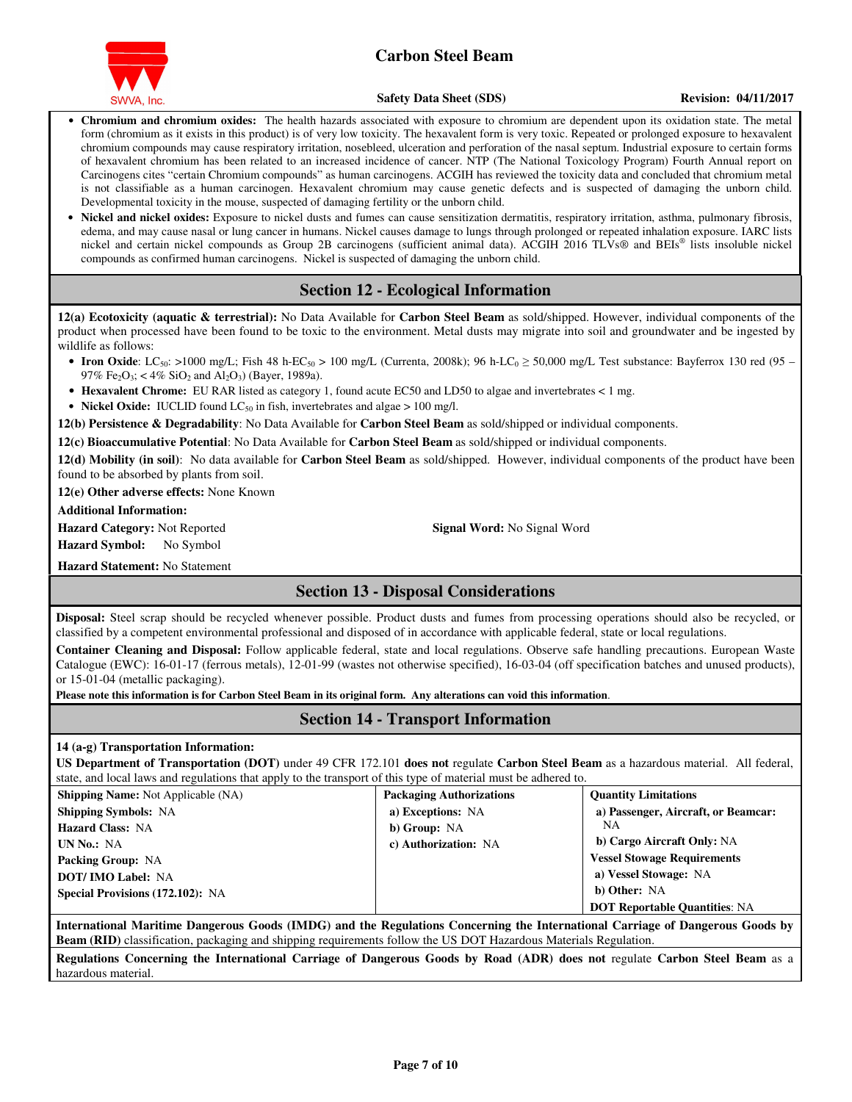

**Safety Data Sheet (SDS)** Revision: 04/11/2017

- **Chromium and chromium oxides:** The health hazards associated with exposure to chromium are dependent upon its oxidation state. The metal form (chromium as it exists in this product) is of very low toxicity. The hexavalent form is very toxic. Repeated or prolonged exposure to hexavalent chromium compounds may cause respiratory irritation, nosebleed, ulceration and perforation of the nasal septum. Industrial exposure to certain forms of hexavalent chromium has been related to an increased incidence of cancer. NTP (The National Toxicology Program) Fourth Annual report on Carcinogens cites "certain Chromium compounds" as human carcinogens. ACGIH has reviewed the toxicity data and concluded that chromium metal is not classifiable as a human carcinogen. Hexavalent chromium may cause genetic defects and is suspected of damaging the unborn child. Developmental toxicity in the mouse, suspected of damaging fertility or the unborn child.
- **Nickel and nickel oxides:** Exposure to nickel dusts and fumes can cause sensitization dermatitis, respiratory irritation, asthma, pulmonary fibrosis, edema, and may cause nasal or lung cancer in humans. Nickel causes damage to lungs through prolonged or repeated inhalation exposure. IARC lists nickel and certain nickel compounds as Group 2B carcinogens (sufficient animal data). ACGIH 2016 TLVs® and BEIs® lists insoluble nickel compounds as confirmed human carcinogens. Nickel is suspected of damaging the unborn child.

## **Section 12 - Ecological Information**

**12(a) Ecotoxicity (aquatic & terrestrial):** No Data Available for **Carbon Steel Beam** as sold/shipped. However, individual components of the product when processed have been found to be toxic to the environment. Metal dusts may migrate into soil and groundwater and be ingested by wildlife as follows:

- **Iron Oxide**: LC<sub>50</sub>: >1000 mg/L; Fish 48 h-EC<sub>50</sub> > 100 mg/L (Currenta, 2008k); 96 h-LC<sub>0</sub> ≥ 50,000 mg/L Test substance: Bayferrox 130 red (95 97% Fe<sub>2</sub>O<sub>3</sub>; < 4% SiO<sub>2</sub> and Al<sub>2</sub>O<sub>3</sub>) (Bayer, 1989a).
- **Hexavalent Chrome:** EU RAR listed as category 1, found acute EC50 and LD50 to algae and invertebrates < 1 mg.
- **Nickel Oxide:** IUCLID found LC<sub>50</sub> in fish, invertebrates and algae > 100 mg/l.

**12(b) Persistence & Degradability**: No Data Available for **Carbon Steel Beam** as sold/shipped or individual components.

**12(c) Bioaccumulative Potential**: No Data Available for **Carbon Steel Beam** as sold/shipped or individual components.

**12(d) Mobility (in soil)**: No data available for **Carbon Steel Beam** as sold/shipped. However, individual components of the product have been found to be absorbed by plants from soil.

**12(e) Other adverse effects:** None Known

**Additional Information:** 

**Hazard Category:** Not Reported **Signal Word:** No Signal Word **Hazard Symbol:** No Symbol

**Hazard Statement:** No Statement

## **Section 13 - Disposal Considerations**

**Disposal:** Steel scrap should be recycled whenever possible. Product dusts and fumes from processing operations should also be recycled, or classified by a competent environmental professional and disposed of in accordance with applicable federal, state or local regulations.

**Container Cleaning and Disposal:** Follow applicable federal, state and local regulations. Observe safe handling precautions. European Waste Catalogue (EWC): 16-01-17 (ferrous metals), 12-01-99 (wastes not otherwise specified), 16-03-04 (off specification batches and unused products), or 15-01-04 (metallic packaging).

**Please note this information is for Carbon Steel Beam in its original form. Any alterations can void this information**.

## **Section 14 - Transport Information**

### **14 (a-g) Transportation Information:**

**US Department of Transportation (DOT)** under 49 CFR 172.101 **does not** regulate **Carbon Steel Beam** as a hazardous material. All federal, state, and local laws and regulations that apply to the transport of this type of material must be adhered to.

| <b>Shipping Name:</b> Not Applicable (NA) | <b>Packaging Authorizations</b> | <b>Quantity Limitations</b>          |
|-------------------------------------------|---------------------------------|--------------------------------------|
| <b>Shipping Symbols: NA</b>               | a) Exceptions: NA               | a) Passenger, Aircraft, or Beamcar:  |
| <b>Hazard Class: NA</b>                   | b) Group: NA                    | NΑ                                   |
| UN No.: NA                                | c) Authorization: NA            | b) Cargo Aircraft Only: NA           |
| <b>Packing Group: NA</b>                  |                                 | <b>Vessel Stowage Requirements</b>   |
| <b>DOT/IMO Label: NA</b>                  |                                 | a) Vessel Stowage: NA                |
| <b>Special Provisions (172.102): NA</b>   |                                 | b) Other: NA                         |
|                                           |                                 | <b>DOT Reportable Quantities: NA</b> |

**International Maritime Dangerous Goods (IMDG) and the Regulations Concerning the International Carriage of Dangerous Goods by Beam (RID)** classification, packaging and shipping requirements follow the US DOT Hazardous Materials Regulation.

**Regulations Concerning the International Carriage of Dangerous Goods by Road (ADR) does not** regulate **Carbon Steel Beam** as a hazardous material.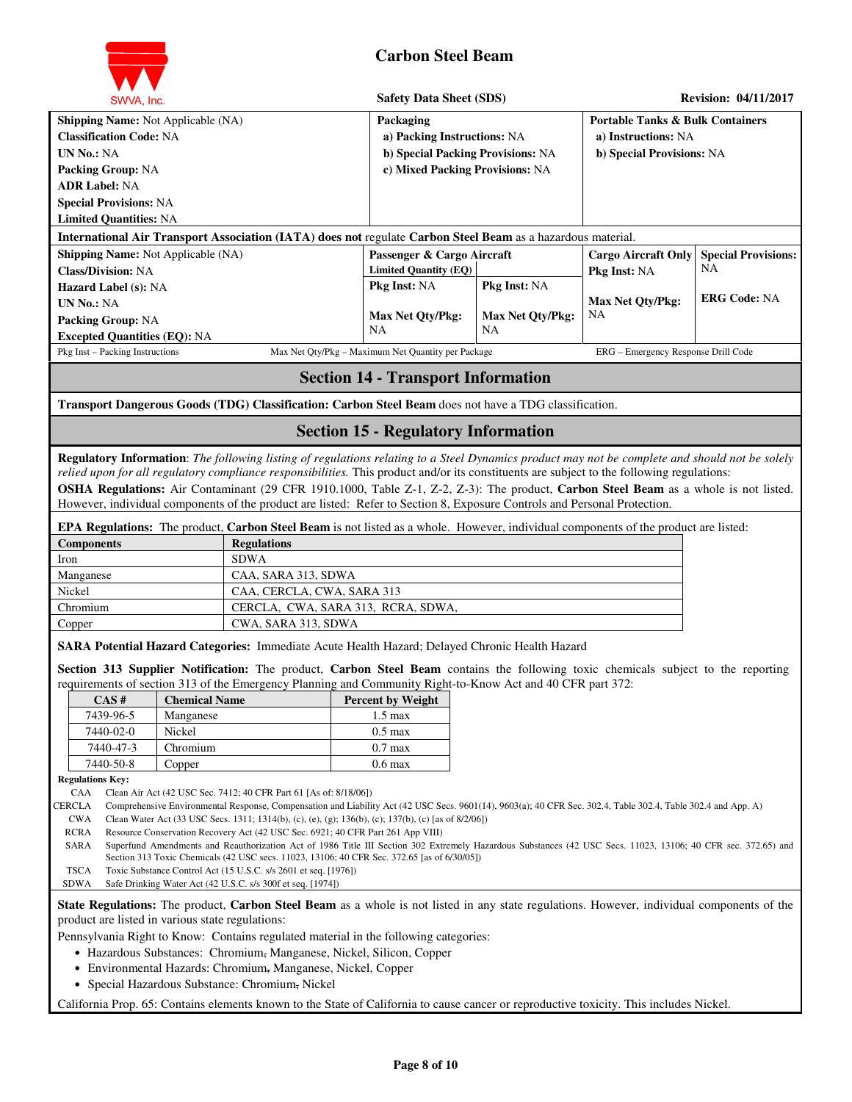

| SWVA, Inc.                                                                                                                                                                                                                                                                                                                                                                                                                                                                                                                                                             | <b>Safety Data Sheet (SDS)</b>                                                                                   |                                         | <b>Revision: 04/11/2017</b>                                                                     |                                  |  |
|------------------------------------------------------------------------------------------------------------------------------------------------------------------------------------------------------------------------------------------------------------------------------------------------------------------------------------------------------------------------------------------------------------------------------------------------------------------------------------------------------------------------------------------------------------------------|------------------------------------------------------------------------------------------------------------------|-----------------------------------------|-------------------------------------------------------------------------------------------------|----------------------------------|--|
| <b>Shipping Name:</b> Not Applicable (NA)<br><b>Classification Code: NA</b><br><b>UN No.: NA</b><br><b>Packing Group: NA</b><br><b>ADR Label: NA</b><br><b>Special Provisions: NA</b><br><b>Limited Quantities: NA</b>                                                                                                                                                                                                                                                                                                                                                 | Packaging<br>a) Packing Instructions: NA<br>b) Special Packing Provisions: NA<br>c) Mixed Packing Provisions: NA |                                         | <b>Portable Tanks &amp; Bulk Containers</b><br>a) Instructions: NA<br>b) Special Provisions: NA |                                  |  |
| International Air Transport Association (IATA) does not regulate Carbon Steel Beam as a hazardous material.                                                                                                                                                                                                                                                                                                                                                                                                                                                            |                                                                                                                  |                                         |                                                                                                 |                                  |  |
| <b>Shipping Name:</b> Not Applicable (NA)<br><b>Class/Division: NA</b>                                                                                                                                                                                                                                                                                                                                                                                                                                                                                                 | Passenger & Cargo Aircraft<br><b>Limited Quantity (EQ)</b>                                                       |                                         | <b>Cargo Aircraft Only</b><br><b>Pkg Inst: NA</b>                                               | <b>Special Provisions:</b><br>NA |  |
| Hazard Label (s): NA<br><b>UN No.: NA</b><br>Packing Group: NA                                                                                                                                                                                                                                                                                                                                                                                                                                                                                                         | Pkg Inst: NA<br><b>Max Net Qty/Pkg:</b>                                                                          | Pkg Inst: NA<br><b>Max Net Qty/Pkg:</b> | <b>Max Net Oty/Pkg:</b><br>NA                                                                   | <b>ERG Code: NA</b>              |  |
| <b>Excepted Quantities (EQ): NA</b>                                                                                                                                                                                                                                                                                                                                                                                                                                                                                                                                    | NA                                                                                                               | <b>NA</b>                               |                                                                                                 |                                  |  |
| Pkg Inst - Packing Instructions                                                                                                                                                                                                                                                                                                                                                                                                                                                                                                                                        | Max Net Qty/Pkg - Maximum Net Quantity per Package                                                               |                                         | ERG - Emergency Response Drill Code                                                             |                                  |  |
|                                                                                                                                                                                                                                                                                                                                                                                                                                                                                                                                                                        | <b>Section 14 - Transport Information</b>                                                                        |                                         |                                                                                                 |                                  |  |
| Transport Dangerous Goods (TDG) Classification: Carbon Steel Beam does not have a TDG classification.                                                                                                                                                                                                                                                                                                                                                                                                                                                                  |                                                                                                                  |                                         |                                                                                                 |                                  |  |
| <b>Section 15 - Regulatory Information</b>                                                                                                                                                                                                                                                                                                                                                                                                                                                                                                                             |                                                                                                                  |                                         |                                                                                                 |                                  |  |
| Regulatory Information: The following listing of regulations relating to a Steel Dynamics product may not be complete and should not be solely<br>relied upon for all regulatory compliance responsibilities. This product and/or its constituents are subject to the following regulations:<br><b>OSHA Regulations:</b> Air Contaminant (29 CFR 1910.1000, Table Z-1, Z-2, Z-3): The product, Carbon Steel Beam as a whole is not listed.<br>However, individual components of the product are listed: Refer to Section 8, Exposure Controls and Personal Protection. |                                                                                                                  |                                         |                                                                                                 |                                  |  |
| <b>EPA Regulations:</b> The product, <b>Carbon Steel Beam</b> is not listed as a whole. However, individual components of the product are listed:                                                                                                                                                                                                                                                                                                                                                                                                                      |                                                                                                                  |                                         |                                                                                                 |                                  |  |
| Components<br>Regulations                                                                                                                                                                                                                                                                                                                                                                                                                                                                                                                                              |                                                                                                                  |                                         |                                                                                                 |                                  |  |

| <b>Components</b> | <b>Regulations</b>                 |
|-------------------|------------------------------------|
| Iron              | <b>SDWA</b>                        |
| Manganese         | CAA, SARA 313, SDWA                |
| Nickel            | CAA, CERCLA, CWA, SARA 313         |
| Chromium          | CERCLA, CWA, SARA 313, RCRA, SDWA, |
| Copper            | CWA, SARA 313, SDWA                |

**SARA Potential Hazard Categories:** Immediate Acute Health Hazard; Delayed Chronic Health Hazard

**Section 313 Supplier Notification:** The product, **Carbon Steel Beam** contains the following toxic chemicals subject to the reporting requirements of section 313 of the Emergency Planning and Community Right-to-Know Act and 40 CFR part 372:

| - – – – – |                      |                          |  |  |  |  |  |
|-----------|----------------------|--------------------------|--|--|--|--|--|
| CAS#      | <b>Chemical Name</b> | <b>Percent by Weight</b> |  |  |  |  |  |
| 7439-96-5 | Manganese            | $1.5 \text{ max}$        |  |  |  |  |  |
| 7440-02-0 | Nickel               | $0.5 \text{ max}$        |  |  |  |  |  |
| 7440-47-3 | Chromium             | $0.7 \text{ max}$        |  |  |  |  |  |
| 7440-50-8 | Copper               | $0.6 \text{ max}$        |  |  |  |  |  |

**Regulations Key:** 

CAA Clean Air Act (42 USC Sec. 7412; 40 CFR Part 61 [As of: 8/18/06])

CERCLA Comprehensive Environmental Response, Compensation and Liability Act (42 USC Secs. 9601(14), 9603(a); 40 CFR Sec. 302.4, Table 302.4, Table 302.4 and App. A)

CWA Clean Water Act (33 USC Secs. 1311; 1314(b), (c), (e), (g); 136(b), (c); 137(b), (c) [as of 8/2/06])

RCRA Resource Conservation Recovery Act (42 USC Sec. 6921; 40 CFR Part 261 App VIII)

SARA Superfund Amendments and Reauthorization Act of 1986 Title III Section 302 Extremely Hazardous Substances (42 USC Secs. 11023, 13106; 40 CFR sec. 372.65) and Section 313 Toxic Chemicals (42 USC secs. 11023, 13106; 40 CFR Sec. 372.65 [as of 6/30/05])

TSCA Toxic Substance Control Act (15 U.S.C. s/s 2601 et seq. [1976]) SDWA Safe Drinking Water Act (42 U.S.C. s/s 300f et seq. [1974])

**State Regulations:** The product, **Carbon Steel Beam** as a whole is not listed in any state regulations. However, individual components of the product are listed in various state regulations:

Pennsylvania Right to Know: Contains regulated material in the following categories:

- Hazardous Substances: Chromium, Manganese, Nickel, Silicon, Copper
- Environmental Hazards: Chromium, Manganese, Nickel, Copper
- Special Hazardous Substance: Chromium, Nickel

California Prop. 65: Contains elements known to the State of California to cause cancer or reproductive toxicity. This includes Nickel.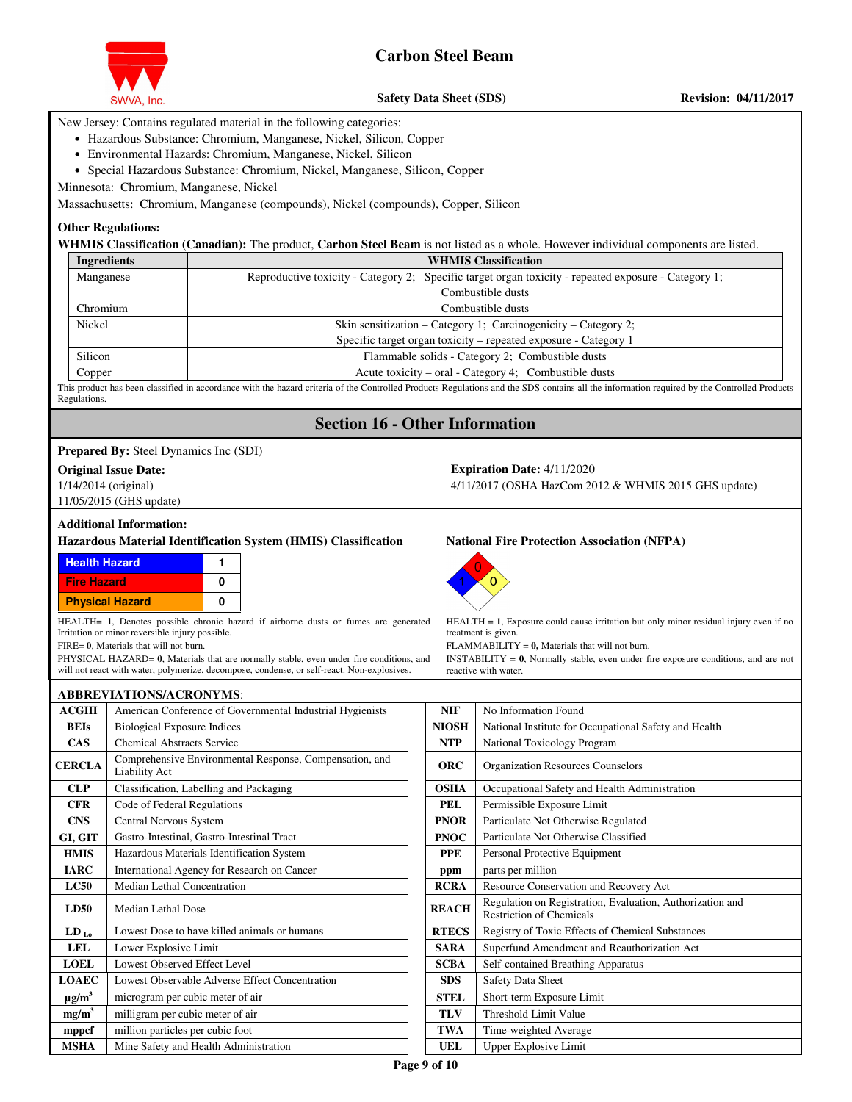

**Safety Data Sheet (SDS)** Revision: 04/11/2017

New Jersey: Contains regulated material in the following categories:

- Hazardous Substance: Chromium, Manganese, Nickel, Silicon, Copper
- Environmental Hazards: Chromium, Manganese, Nickel, Silicon
- Special Hazardous Substance: Chromium, Nickel, Manganese, Silicon, Copper

Minnesota: Chromium, Manganese, Nickel

Massachusetts: Chromium, Manganese (compounds), Nickel (compounds), Copper, Silicon

### **Other Regulations:**

**WHMIS Classification (Canadian):** The product, **Carbon Steel Beam** is not listed as a whole. However individual components are listed.

| <b>WHMIS Classification</b>                                                                          |  |  |  |  |  |  |
|------------------------------------------------------------------------------------------------------|--|--|--|--|--|--|
| Reproductive toxicity - Category 2; Specific target organ toxicity - repeated exposure - Category 1; |  |  |  |  |  |  |
| Combustible dusts                                                                                    |  |  |  |  |  |  |
| Combustible dusts                                                                                    |  |  |  |  |  |  |
| Skin sensitization – Category 1; Carcinogenicity – Category 2;                                       |  |  |  |  |  |  |
| Specific target organ toxicity - repeated exposure - Category 1                                      |  |  |  |  |  |  |
| Flammable solids - Category 2; Combustible dusts                                                     |  |  |  |  |  |  |
| Acute toxicity – oral - Category 4; Combustible dusts                                                |  |  |  |  |  |  |
|                                                                                                      |  |  |  |  |  |  |

This product has been classified in accordance with the hazard criteria of the Controlled Products Regulations and the SDS contains all the information required by the Controlled Products Regulations.

## **Section 16 - Other Information**

**Prepared By:** Steel Dynamics Inc (SDI)

#### **Original Issue Date: Expiration Date:** 4/11/2020

1/14/2014 (original)

11/05/2015 (GHS update)

#### **Additional Information:**

#### **Hazardous Material Identification System (HMIS) Classification National Fire Protection Association (NFPA)**

| <b>Health Hazard</b>   |   |
|------------------------|---|
| <b>Fire Hazard</b>     | n |
| <b>Physical Hazard</b> |   |

HEALTH= **1**, Denotes possible chronic hazard if airborne dusts or fumes are generated Irritation or minor reversible injury possible.

FIRE= **0**, Materials that will not burn.

PHYSICAL HAZARD= **0**, Materials that are normally stable, even under fire conditions, and will not react with water, polymerize, decompose, condense, or self-react. Non-explosives.

|                        | <b>ABBREVIATIONS/ACRONYMS:</b>                                           |              |                                                                                              |
|------------------------|--------------------------------------------------------------------------|--------------|----------------------------------------------------------------------------------------------|
| <b>ACGIH</b>           | American Conference of Governmental Industrial Hygienists                | <b>NIF</b>   | No Information Found                                                                         |
| <b>BEIs</b>            | <b>Biological Exposure Indices</b>                                       | <b>NIOSH</b> | National Institute for Occupational Safety and Health                                        |
| <b>CAS</b>             | <b>Chemical Abstracts Service</b>                                        | <b>NTP</b>   | National Toxicology Program                                                                  |
| <b>CERCLA</b>          | Comprehensive Environmental Response, Compensation, and<br>Liability Act | <b>ORC</b>   | <b>Organization Resources Counselors</b>                                                     |
| CLP                    | Classification, Labelling and Packaging                                  | <b>OSHA</b>  | Occupational Safety and Health Administration                                                |
| <b>CFR</b>             | Code of Federal Regulations                                              | <b>PEL</b>   | Permissible Exposure Limit                                                                   |
| <b>CNS</b>             | Central Nervous System                                                   | <b>PNOR</b>  | Particulate Not Otherwise Regulated                                                          |
| GI, GIT                | Gastro-Intestinal, Gastro-Intestinal Tract                               | <b>PNOC</b>  | Particulate Not Otherwise Classified                                                         |
| <b>HMIS</b>            | Hazardous Materials Identification System                                | <b>PPE</b>   | Personal Protective Equipment                                                                |
| <b>IARC</b>            | International Agency for Research on Cancer                              | ppm          | parts per million                                                                            |
| LC50                   | Median Lethal Concentration                                              | <b>RCRA</b>  | Resource Conservation and Recovery Act                                                       |
| <b>LD50</b>            | Median Lethal Dose                                                       | <b>REACH</b> | Regulation on Registration, Evaluation, Authorization and<br><b>Restriction of Chemicals</b> |
| $LD_{Lo}$              | Lowest Dose to have killed animals or humans                             | <b>RTECS</b> | Registry of Toxic Effects of Chemical Substances                                             |
| LEL                    | Lower Explosive Limit                                                    | <b>SARA</b>  | Superfund Amendment and Reauthorization Act                                                  |
| <b>LOEL</b>            | Lowest Observed Effect Level                                             | <b>SCBA</b>  | Self-contained Breathing Apparatus                                                           |
| <b>LOAEC</b>           | Lowest Observable Adverse Effect Concentration                           | <b>SDS</b>   | Safety Data Sheet                                                                            |
| $\mu$ g/m <sup>3</sup> | microgram per cubic meter of air                                         | <b>STEL</b>  | Short-term Exposure Limit                                                                    |
| mg/m <sup>3</sup>      | milligram per cubic meter of air                                         | <b>TLV</b>   | Threshold Limit Value                                                                        |
| mppcf                  | million particles per cubic foot                                         | TWA          | Time-weighted Average                                                                        |
| <b>MSHA</b>            | Mine Safety and Health Administration                                    | UEL          | <b>Upper Explosive Limit</b>                                                                 |

4/11/2017 (OSHA HazCom 2012 & WHMIS 2015 GHS update)



HEALTH = **1**, Exposure could cause irritation but only minor residual injury even if no treatment is given.

FLAMMABILITY = **0,** Materials that will not burn.

INSTABILITY = **0**, Normally stable, even under fire exposure conditions, and are not reactive with water.

| No Information Found                                                                         |  |  |  |  |  |
|----------------------------------------------------------------------------------------------|--|--|--|--|--|
| National Institute for Occupational Safety and Health                                        |  |  |  |  |  |
| National Toxicology Program                                                                  |  |  |  |  |  |
| <b>Organization Resources Counselors</b>                                                     |  |  |  |  |  |
| Occupational Safety and Health Administration                                                |  |  |  |  |  |
| Permissible Exposure Limit                                                                   |  |  |  |  |  |
| Particulate Not Otherwise Regulated                                                          |  |  |  |  |  |
| Particulate Not Otherwise Classified                                                         |  |  |  |  |  |
| Personal Protective Equipment                                                                |  |  |  |  |  |
| parts per million                                                                            |  |  |  |  |  |
| Resource Conservation and Recovery Act                                                       |  |  |  |  |  |
| Regulation on Registration, Evaluation, Authorization and<br><b>Restriction of Chemicals</b> |  |  |  |  |  |
| Registry of Toxic Effects of Chemical Substances                                             |  |  |  |  |  |
| Superfund Amendment and Reauthorization Act                                                  |  |  |  |  |  |
| Self-contained Breathing Apparatus                                                           |  |  |  |  |  |
| <b>Safety Data Sheet</b>                                                                     |  |  |  |  |  |
| Short-term Exposure Limit                                                                    |  |  |  |  |  |
| <b>Threshold Limit Value</b>                                                                 |  |  |  |  |  |
| Time-weighted Average                                                                        |  |  |  |  |  |
| <b>Upper Explosive Limit</b>                                                                 |  |  |  |  |  |
|                                                                                              |  |  |  |  |  |